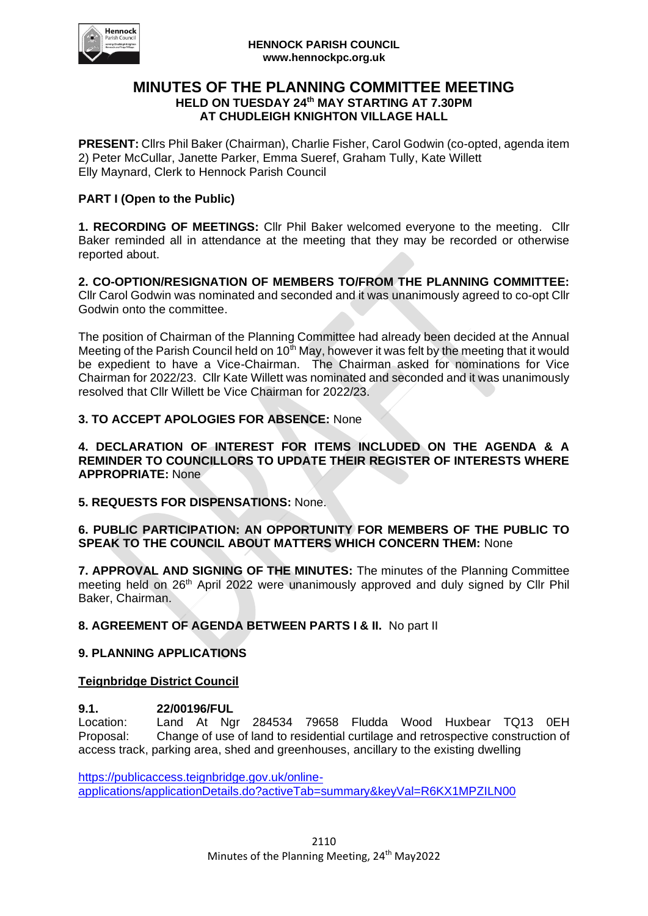

#### **HENNOCK PARISH COUNCIL www.hennockpc.org.uk**

## **MINUTES OF THE PLANNING COMMITTEE MEETING HELD ON TUESDAY 24 th MAY STARTING AT 7.30PM AT CHUDLEIGH KNIGHTON VILLAGE HALL**

**PRESENT:** Cllrs Phil Baker (Chairman), Charlie Fisher, Carol Godwin (co-opted, agenda item 2) Peter McCullar, Janette Parker, Emma Sueref, Graham Tully, Kate Willett Elly Maynard, Clerk to Hennock Parish Council

## **PART I (Open to the Public)**

**1. RECORDING OF MEETINGS:** Cllr Phil Baker welcomed everyone to the meeting. Cllr Baker reminded all in attendance at the meeting that they may be recorded or otherwise reported about.

**2. CO-OPTION/RESIGNATION OF MEMBERS TO/FROM THE PLANNING COMMITTEE:**  Cllr Carol Godwin was nominated and seconded and it was unanimously agreed to co-opt Cllr Godwin onto the committee.

The position of Chairman of the Planning Committee had already been decided at the Annual Meeting of the Parish Council held on  $10<sup>th</sup>$  May, however it was felt by the meeting that it would be expedient to have a Vice-Chairman. The Chairman asked for nominations for Vice Chairman for 2022/23. Cllr Kate Willett was nominated and seconded and it was unanimously resolved that Cllr Willett be Vice Chairman for 2022/23.

## **3. TO ACCEPT APOLOGIES FOR ABSENCE:** None

**4. DECLARATION OF INTEREST FOR ITEMS INCLUDED ON THE AGENDA & A REMINDER TO COUNCILLORS TO UPDATE THEIR REGISTER OF INTERESTS WHERE APPROPRIATE:** None

**5. REQUESTS FOR DISPENSATIONS:** None.

## **6. PUBLIC PARTICIPATION: AN OPPORTUNITY FOR MEMBERS OF THE PUBLIC TO SPEAK TO THE COUNCIL ABOUT MATTERS WHICH CONCERN THEM:** None

**7. APPROVAL AND SIGNING OF THE MINUTES:** The minutes of the Planning Committee meeting held on 26<sup>th</sup> April 2022 were unanimously approved and duly signed by Cllr Phil Baker, Chairman.

**8. AGREEMENT OF AGENDA BETWEEN PARTS I & II.** No part II

### **9. PLANNING APPLICATIONS**

### **Teignbridge District Council**

# **9.1. 22/00196/FUL**

Location: Land At Ngr 284534 79658 Fludda Wood Huxbear TQ13 0EH Proposal: Change of use of land to residential curtilage and retrospective construction of access track, parking area, shed and greenhouses, ancillary to the existing dwelling

[https://publicaccess.teignbridge.gov.uk/online](https://publicaccess.teignbridge.gov.uk/online-applications/applicationDetails.do?activeTab=summary&keyVal=R6KX1MPZILN00)[applications/applicationDetails.do?activeTab=summary&keyVal=R6KX1MPZILN00](https://publicaccess.teignbridge.gov.uk/online-applications/applicationDetails.do?activeTab=summary&keyVal=R6KX1MPZILN00)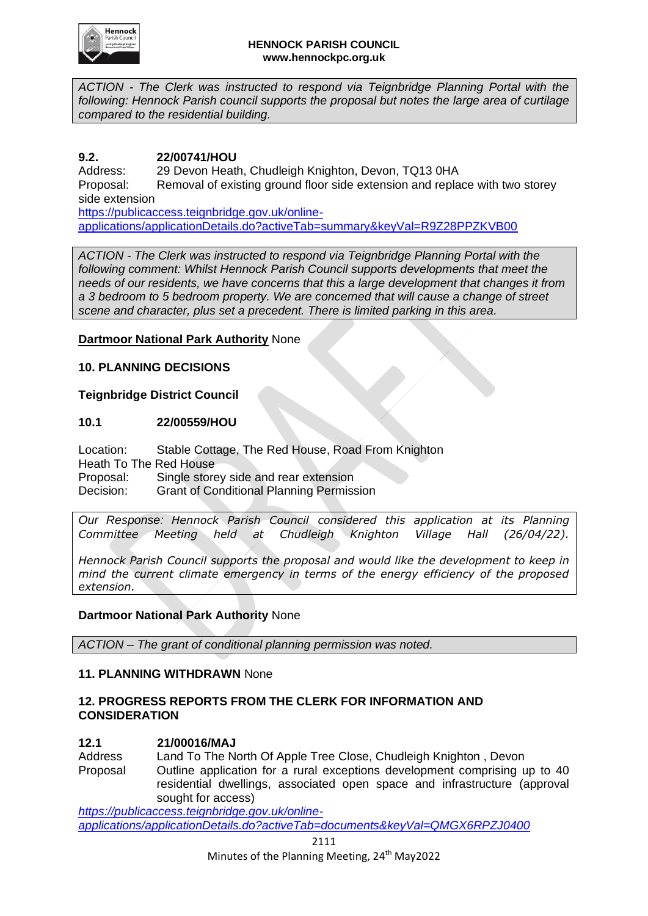

*ACTION - The Clerk was instructed to respond via Teignbridge Planning Portal with the following: Hennock Parish council supports the proposal but notes the large area of curtilage compared to the residential building.*

## **9.2. 22/00741/HOU**

Address: 29 Devon Heath, Chudleigh Knighton, Devon, TQ13 0HA Proposal: Removal of existing ground floor side extension and replace with two storey side extension [https://publicaccess.teignbridge.gov.uk/online-](https://publicaccess.teignbridge.gov.uk/online-applications/applicationDetails.do?activeTab=summary&keyVal=R9Z28PPZKVB00)

[applications/applicationDetails.do?activeTab=summary&keyVal=R9Z28PPZKVB00](https://publicaccess.teignbridge.gov.uk/online-applications/applicationDetails.do?activeTab=summary&keyVal=R9Z28PPZKVB00)

*ACTION - The Clerk was instructed to respond via Teignbridge Planning Portal with the following comment: Whilst Hennock Parish Council supports developments that meet the needs of our residents, we have concerns that this a large development that changes it from a 3 bedroom to 5 bedroom property. We are concerned that will cause a change of street scene and character, plus set a precedent. There is limited parking in this area.*

### **Dartmoor National Park Authority** None

### **10. PLANNING DECISIONS**

### **Teignbridge District Council**

### **10.1 22/00559/HOU**

Location: Stable Cottage, The Red House, Road From Knighton Heath To The Red House Proposal: Single storey side and rear extension Decision: Grant of Conditional Planning Permission

*Our Response: Hennock Parish Council considered this application at its Planning Committee Meeting held at Chudleigh Knighton Village Hall (26/04/22).* 

*Hennock Parish Council supports the proposal and would like the development to keep in mind the current climate emergency in terms of the energy efficiency of the proposed extension.*

### **Dartmoor National Park Authority** None

*ACTION – The grant of conditional planning permission was noted.*

### **11. PLANNING WITHDRAWN** None

### **12. PROGRESS REPORTS FROM THE CLERK FOR INFORMATION AND CONSIDERATION**

### **12.1 21/00016/MAJ**

Address Land To The North Of Apple Tree Close, Chudleigh Knighton , Devon Proposal Outline application for a rural exceptions development comprising up to 40 residential dwellings, associated open space and infrastructure (approval sought for access)

*[https://publicaccess.teignbridge.gov.uk/online](https://publicaccess.teignbridge.gov.uk/online-applications/applicationDetails.do?activeTab=documents&keyVal=QMGX6RPZJ0400)[applications/applicationDetails.do?activeTab=documents&keyVal=QMGX6RPZJ0400](https://publicaccess.teignbridge.gov.uk/online-applications/applicationDetails.do?activeTab=documents&keyVal=QMGX6RPZJ0400)*

2111

Minutes of the Planning Meeting, 24<sup>th</sup> May2022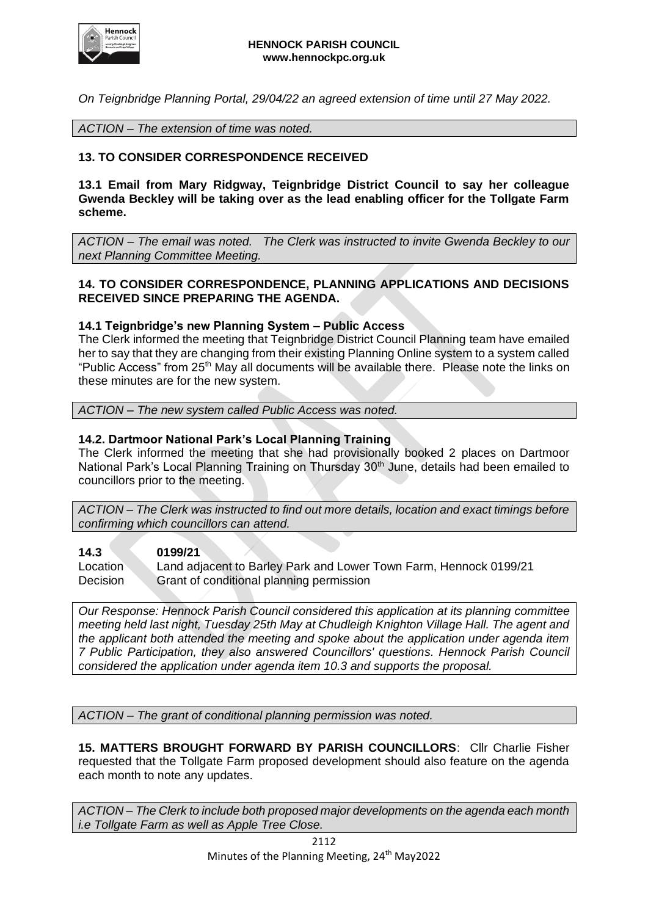

*On Teignbridge Planning Portal, 29/04/22 an agreed extension of time until 27 May 2022.*

*ACTION – The extension of time was noted.*

## **13. TO CONSIDER CORRESPONDENCE RECEIVED**

**13.1 Email from Mary Ridgway, Teignbridge District Council to say her colleague Gwenda Beckley will be taking over as the lead enabling officer for the Tollgate Farm scheme.** 

*ACTION – The email was noted. The Clerk was instructed to invite Gwenda Beckley to our next Planning Committee Meeting.*

### **14. TO CONSIDER CORRESPONDENCE, PLANNING APPLICATIONS AND DECISIONS RECEIVED SINCE PREPARING THE AGENDA.**

### **14.1 Teignbridge's new Planning System – Public Access**

The Clerk informed the meeting that Teignbridge District Council Planning team have emailed her to say that they are changing from their existing Planning Online system to a system called "Public Access" from 25<sup>th</sup> May all documents will be available there. Please note the links on these minutes are for the new system.

*ACTION – The new system called Public Access was noted.*

#### **14.2. Dartmoor National Park's Local Planning Training**

The Clerk informed the meeting that she had provisionally booked 2 places on Dartmoor National Park's Local Planning Training on Thursday 30<sup>th</sup> June, details had been emailed to councillors prior to the meeting.

*ACTION – The Clerk was instructed to find out more details, location and exact timings before confirming which councillors can attend.*

#### **14.3 0199/21**

Location Land adjacent to Barley Park and Lower Town Farm, Hennock 0199/21 Decision Grant of conditional planning permission

*Our Response: Hennock Parish Council considered this application at its planning committee meeting held last night, Tuesday 25th May at Chudleigh Knighton Village Hall. The agent and the applicant both attended the meeting and spoke about the application under agenda item 7 Public Participation, they also answered Councillors' questions. Hennock Parish Council considered the application under agenda item 10.3 and supports the proposal.*

*ACTION – The grant of conditional planning permission was noted.*

**15. MATTERS BROUGHT FORWARD BY PARISH COUNCILLORS**: Cllr Charlie Fisher requested that the Tollgate Farm proposed development should also feature on the agenda each month to note any updates.

*ACTION – The Clerk to include both proposed major developments on the agenda each month i.e Tollgate Farm as well as Apple Tree Close.*